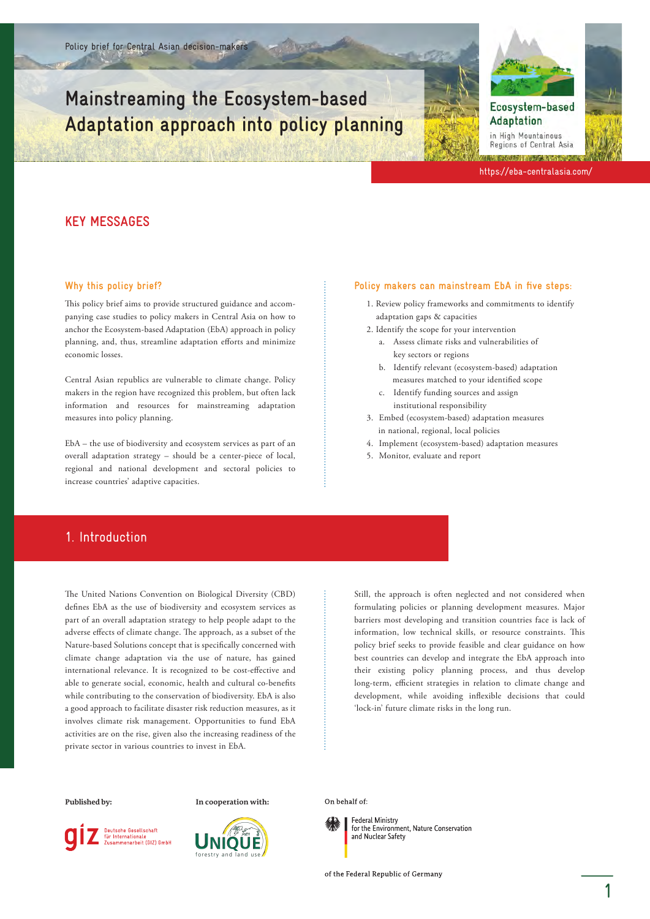# **Mainstreaming the Ecosystem-based Adaptation approach into policy planning**



Ecosystem-based Adaptation

in High Mountainous Regions of Central Asia

https://eba-centralasia.com/

### **KEY MESSAGES**

#### **Why this policy brief?**

This policy brief aims to provide structured guidance and accompanying case studies to policy makers in Central Asia on how to anchor the Ecosystem-based Adaptation (EbA) approach in policy planning, and, thus, streamline adaptation efforts and minimize economic losses.

Central Asian republics are vulnerable to climate change. Policy makers in the region have recognized this problem, but often lack information and resources for mainstreaming adaptation measures into policy planning.

EbA – the use of biodiversity and ecosystem services as part of an overall adaptation strategy – should be a center-piece of local, regional and national development and sectoral policies to increase countries' adaptive capacities.

#### **Policy makers can mainstream EbA in five steps:**

- 1. Review policy frameworks and commitments to identify adaptation gaps & capacities
- 2. Identify the scope for your intervention
	- a. Assess climate risks and vulnerabilities of key sectors or regions
	- b. Identify relevant (ecosystem-based) adaptation measures matched to your identified scope
	- c. Identify funding sources and assign institutional responsibility
- 3. Embed (ecosystem-based) adaptation measures
- in national, regional, local policies 4. Implement (ecosystem-based) adaptation measures
- 5. Monitor, evaluate and report

### 1. Introduction

The United Nations Convention on Biological Diversity (CBD) defines EbA as the use of biodiversity and ecosystem services as part of an overall adaptation strategy to help people adapt to the adverse effects of climate change. The approach, as a subset of the Nature-based Solutions concept that is specifically concerned with climate change adaptation via the use of nature, has gained international relevance. It is recognized to be cost-effective and able to generate social, economic, health and cultural co-benefits while contributing to the conservation of biodiversity. EbA is also a good approach to facilitate disaster risk reduction measures, as it involves climate risk management. Opportunities to fund EbA activities are on the rise, given also the increasing readiness of the private sector in various countries to invest in EbA.

Still, the approach is often neglected and not considered when formulating policies or planning development measures. Major barriers most developing and transition countries face is lack of information, low technical skills, or resource constraints. This policy brief seeks to provide feasible and clear guidance on how best countries can develop and integrate the EbA approach into their existing policy planning process, and thus develop long-term, efficient strategies in relation to climate change and development, while avoiding inflexible decisions that could 'lock-in' future climate risks in the long run.

**Deutsche Gesellschaft** 

für Internationale<br>Zusammenarbeit (GIZ) GmbH

**Published by: In cooperation with:**



**Federal Ministry** 

On behalf of:

for the Environment. Nature Conservation and Nuclear Safety

of the Federal Republic of Germany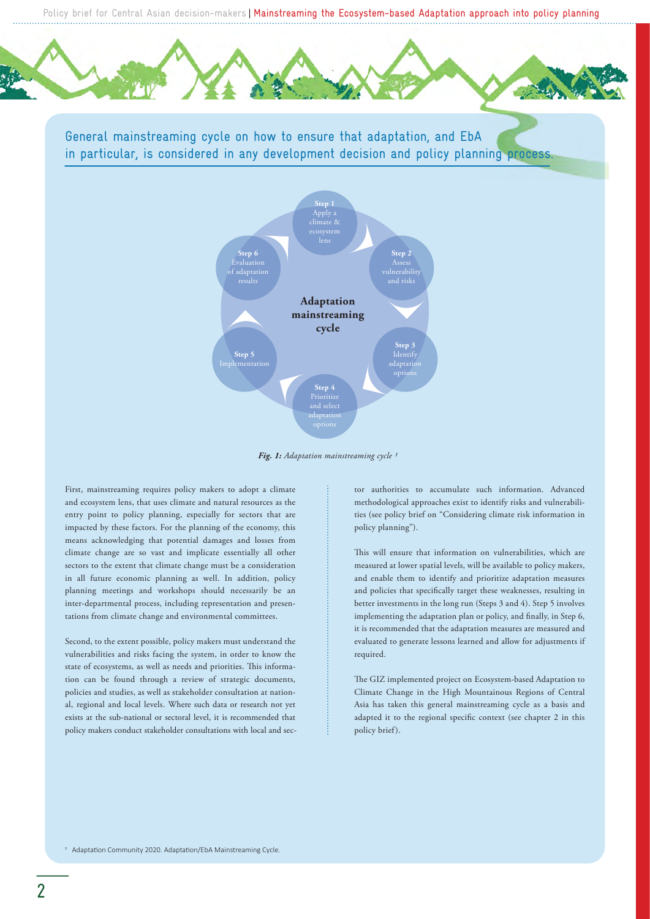

General mainstreaming cycle on how to ensure that adaptation, and EbA in particular, is considered in any development decision and policy planning process.



*Fig. 1: Adaptation mainstreaming cycle 1*

First, mainstreaming requires policy makers to adopt a climate and ecosystem lens, that uses climate and natural resources as the entry point to policy planning, especially for sectors that are impacted by these factors. For the planning of the economy, this means acknowledging that potential damages and losses from climate change are so vast and implicate essentially all other sectors to the extent that climate change must be a consideration in all future economic planning as well. In addition, policy planning meetings and workshops should necessarily be an inter-departmental process, including representation and presentations from climate change and environmental committees.

Second, to the extent possible, policy makers must understand the vulnerabilities and risks facing the system, in order to know the state of ecosystems, as well as needs and priorities. This information can be found through a review of strategic documents, policies and studies, as well as stakeholder consultation at national, regional and local levels. Where such data or research not yet exists at the sub-national or sectoral level, it is recommended that policy makers conduct stakeholder consultations with local and sector authorities to accumulate such information. Advanced methodological approaches exist to identify risks and vulnerabilities (see policy brief on "Considering climate risk information in policy planning").

This will ensure that information on vulnerabilities, which are measured at lower spatial levels, will be available to policy makers, and enable them to identify and prioritize adaptation measures and policies that specifically target these weaknesses, resulting in better investments in the long run (Steps 3 and 4). Step 5 involves implementing the adaptation plan or policy, and finally, in Step 6, it is recommended that the adaptation measures are measured and evaluated to generate lessons learned and allow for adjustments if required.

The GIZ implemented project on Ecosystem-based Adaptation to Climate Change in the High Mountainous Regions of Central Asia has taken this general mainstreaming cycle as a basis and adapted it to the regional specific context (see chapter 2 in this policy brief).

<sup>1</sup> Adaptation Community 2020. Adaptation/EbA Mainstreaming Cycle.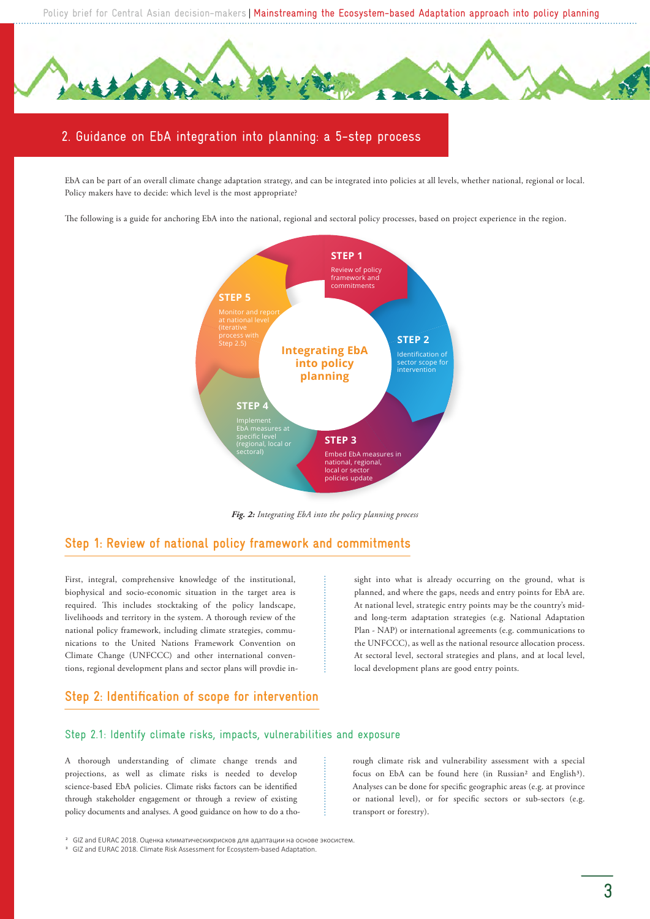

## 2. Guidance on EbA integration into planning: a 5-step process

EbA can be part of an overall climate change adaptation strategy, and can be integrated into policies at all levels, whether national, regional or local. Policy makers have to decide: which level is the most appropriate?

The following is a guide for anchoring EbA into the national, regional and sectoral policy processes, based on project experience in the region.



*Fig. 2: Integrating EbA into the policy planning process*

### **Step 1: Review of national policy framework and commitments**

First, integral, comprehensive knowledge of the institutional, biophysical and socio-economic situation in the target area is required. This includes stocktaking of the policy landscape, livelihoods and territory in the system. A thorough review of the national policy framework, including climate strategies, communications to the United Nations Framework Convention on Climate Change (UNFCCC) and other international conventions, regional development plans and sector plans will provdie in-

sight into what is already occurring on the ground, what is planned, and where the gaps, needs and entry points for EbA are. At national level, strategic entry points may be the country's midand long-term adaptation strategies (e.g. National Adaptation Plan - NAP) or international agreements (e.g. communications to the UNFCCC), as well as the national resource allocation process. At sectoral level, sectoral strategies and plans, and at local level, local development plans are good entry points.

### **Step 2: Identification of scope for intervention**

### Step 2.1: Identify climate risks, impacts, vulnerabilities and exposure

A thorough understanding of climate change trends and projections, as well as climate risks is needed to develop science-based EbA policies. Climate risks factors can be identified through stakeholder engagement or through a review of existing policy documents and analyses. A good guidance on how to do a thorough climate risk and vulnerability assessment with a special focus on EbA can be found here (in Russian<sup>2</sup> and English<sup>3</sup>). Analyses can be done for specific geographic areas (e.g. at province or national level), or for specific sectors or sub-sectors (e.g. transport or forestry).

2 GIZ and EURAC 2018. [Оценка климатическихрисков для адаптации на основе экосистем.](https://www.adaptationcommunity.net/download/CRVA-for-EbA_Russian.pdf)

<sup>&</sup>lt;sup>3</sup> GIZ and EURAC 2018. Climate Risk Assessment for Ecosystem-based Adaptation.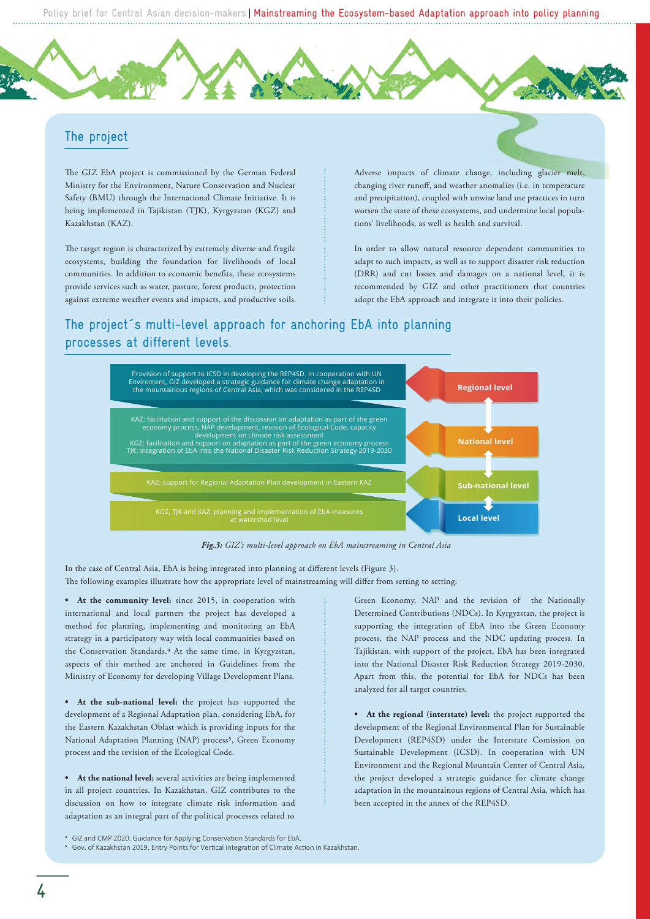### The project

The GIZ EbA project is commissioned by the German Federal Ministry for the Environment, Nature Conservation and Nuclear Safety (BMU) through the International Climate Initiative. It is being implemented in Tajikistan (TJK), Kyrgyzstan (KGZ) and Kazakhstan (KAZ).

The target region is characterized by extremely diverse and fragile ecosystems, building the foundation for livelihoods of local communities. In addition to economic benefits, these ecosystems provide services such as water, pasture, forest products, protection against extreme weather events and impacts, and productive soils. Adverse impacts of climate change, including glacier melt, changing river runoff, and weather anomalies (i.e. in temperature and precipitation), coupled with unwise land use practices in turn worsen the state of these ecosystems, and undermine local populations' livelihoods, as well as health and survival.

In order to allow natural resource dependent communities to adapt to such impacts, as well as to support disaster risk reduction (DRR) and cut losses and damages on a national level, it is recommended by GIZ and other practitioners that countries adopt the EbA approach and integrate it into their policies.

### The project´s multi-level approach for anchoring EbA into planning processes at different levels.



*Fig.3: GIZ's multi-level approach on EbA mainstreaming in Central Asia*

In the case of Central Asia, EbA is being integrated into planning at different levels (Figure 3). The following examples illustrate how the appropriate level of mainstreaming will differ from setting to setting:

**• At the community level:** since 2015, in cooperation with international and local partners the project has developed a method for planning, implementing and monitoring an EbA strategy in a participatory way with local communities based on the Conservation Standards.<sup>4</sup> At the same time, in Kyrgyzstan, aspects of this method are anchored in Guidelines from the Ministry of Economy for developing Village Development Plans.

**• At the sub-national level:** the project has supported the development of a Regional Adaptation plan, considering EbA, for the Eastern Kazakhstan Oblast which is providing inputs for the National Adaptation Planning (NAP) process<sup>5</sup>, Green Economy process and the revision of the Ecological Code.

**• At the national level:** several activities are being implemented in all project countries. In Kazakhstan, GIZ contributes to the discussion on how to integrate climate risk information and adaptation as an integral part of the political processes related to

Green Economy, NAP and the revision of the Nationally Determined Contributions (NDCs). In Kyrgyzstan, the project is supporting the integration of EbA into the Green Economy process, the NAP process and the NDC updating process. In Tajikistan, with support of the project, EbA has been integrated into the National Disaster Risk Reduction Strategy 2019-2030. Apart from this, the potential for EbA for NDCs has been analyzed for all target countries.

**• At the regional (interstate) level:** the project supported the development of the Regional Environmental Plan for Sustainable Development (REP4SD) under the Interstate Comission on Sustainable Development (ICSD). In cooperation with UN Environment and the Regional Mountain Center of Central Asia, the project developed a strategic guidance for climate change adaptation in the mountainous regions of Central Asia, which has been accepted in the annex of the REP4SD.

<sup>&</sup>lt;sup>4</sup> GIZ and CMP 2020. Guidance for Applying Conservation Standards for EbA.

<sup>&</sup>lt;sup>5</sup> Gov. of Kazakhstan 2019. Entry Points for Vertical Integration of Climate Action in Kazakhstan.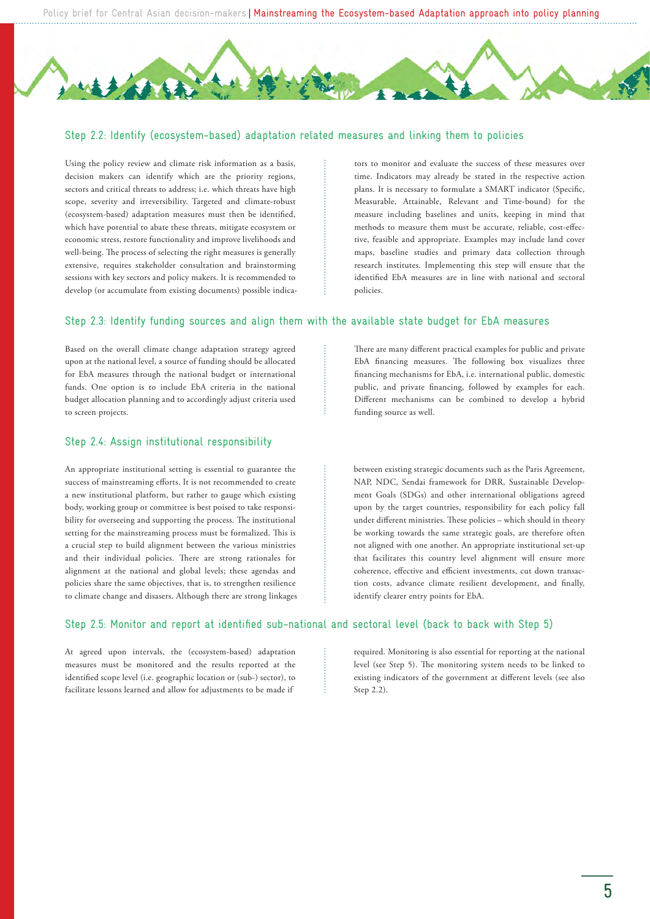#### Step 2.2: Identify (ecosystem-based) adaptation related measures and linking them to policies

Using the policy review and climate risk information as a basis, decision makers can identify which are the priority regions, sectors and critical threats to address; i.e. which threats have high scope, severity and irreversibility. Targeted and climate-robust (ecosystem-based) adaptation measures must then be identified, which have potential to abate these threats, mitigate ecosystem or economic stress, restore functionality and improve livelihoods and well-being. The process of selecting the right measures is generally extensive, requires stakeholder consultation and brainstorming sessions with key sectors and policy makers. It is recommended to develop (or accumulate from existing documents) possible indicators to monitor and evaluate the success of these measures over time. Indicators may already be stated in the respective action plans. It is necessary to formulate a SMART indicator (Specific, Measurable, Attainable, Relevant and Time-bound) for the measure including baselines and units, keeping in mind that methods to measure them must be accurate, reliable, cost-effective, feasible and appropriate. Examples may include land cover maps, baseline studies and primary data collection through research institutes. Implementing this step will ensure that the identified EbA measures are in line with national and sectoral policies.

### Step 2.3: Identify funding sources and align them with the available state budget for EbA measures

Based on the overall climate change adaptation strategy agreed upon at the national level, a source of funding should be allocated for EbA measures through the national budget or international funds. One option is to include EbA criteria in the national budget allocation planning and to accordingly adjust criteria used to screen projects.

### Step 2.4: Assign institutional responsibility

An appropriate institutional setting is essential to guarantee the success of mainstreaming efforts. It is not recommended to create a new institutional platform, but rather to gauge which existing body, working group or committee is best poised to take responsibility for overseeing and supporting the process. The institutional setting for the mainstreaming process must be formalized. This is a crucial step to build alignment between the various ministries and their individual policies. There are strong rationales for alignment at the national and global levels; these agendas and policies share the same objectives, that is, to strengthen resilience to climate change and disasers. Although there are strong linkages

There are many different practical examples for public and private EbA financing measures. The following box visualizes three financing mechanisms for EbA, i.e. international public, domestic public, and private financing, followed by examples for each. Different mechanisms can be combined to develop a hybrid funding source as well.

between existing strategic documents such as the Paris Agreement, NAP, NDC, Sendai framework for DRR, Sustainable Development Goals (SDGs) and other international obligations agreed upon by the target countries, responsibility for each policy fall under different ministries. These policies – which should in theory be working towards the same strategic goals, are therefore often not aligned with one another. An appropriate institutional set-up that facilitates this country level alignment will ensure more coherence, effective and efficient investments, cut down transaction costs, advance climate resilient development, and finally, identify clearer entry points for EbA.

#### Step 2.5: Monitor and report at identified sub-national and sectoral level (back to back with Step 5)

At agreed upon intervals, the (ecosystem-based) adaptation measures must be monitored and the results reported at the identified scope level (i.e. geographic location or (sub-) sector), to facilitate lessons learned and allow for adjustments to be made if

required. Monitoring is also essential for reporting at the national level (see Step 5). The monitoring system needs to be linked to existing indicators of the government at different levels (see also Step 2.2).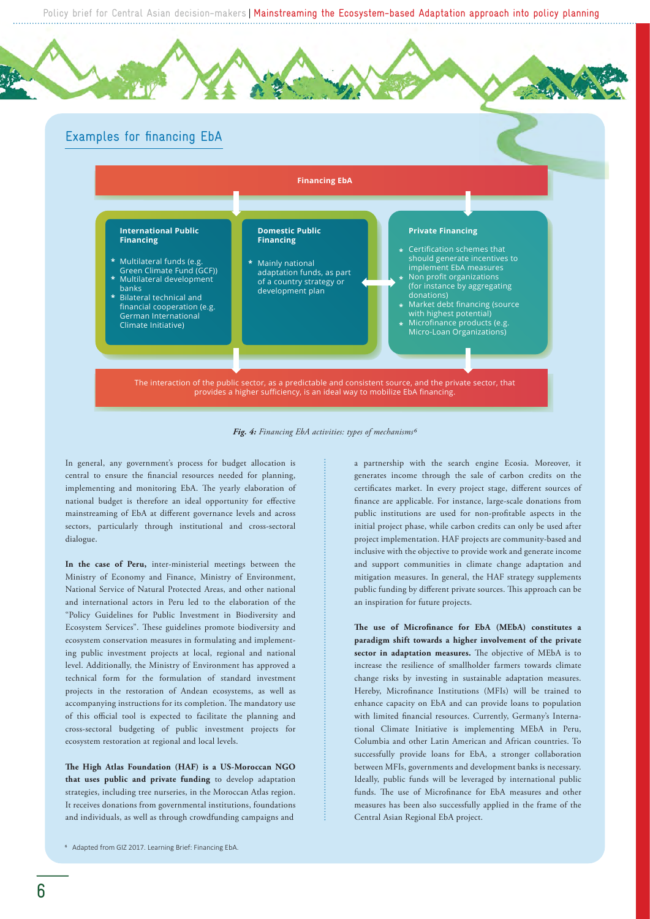

*Fig. 4: Financing EbA activities: types of mechanisms6*

In general, any government's process for budget allocation is central to ensure the financial resources needed for planning, implementing and monitoring EbA. The yearly elaboration of national budget is therefore an ideal opportunity for effective mainstreaming of EbA at different governance levels and across sectors, particularly through institutional and cross-sectoral dialogue.

**In the case of Peru,** inter-ministerial meetings between the Ministry of Economy and Finance, Ministry of Environment, National Service of Natural Protected Areas, and other national and international actors in Peru led to the elaboration of the "Policy Guidelines for Public Investment in Biodiversity and Ecosystem Services". These guidelines promote biodiversity and ecosystem conservation measures in formulating and implementing public investment projects at local, regional and national level. Additionally, the Ministry of Environment has approved a technical form for the formulation of standard investment projects in the restoration of Andean ecosystems, as well as accompanying instructions for its completion. The mandatory use of this official tool is expected to facilitate the planning and cross-sectoral budgeting of public investment projects for ecosystem restoration at regional and local levels.

**e High Atlas Foundation (HAF) is a US-Moroccan NGO that uses public and private funding** to develop adaptation strategies, including tree nurseries, in the Moroccan Atlas region. It receives donations from governmental institutions, foundations and individuals, as well as through crowdfunding campaigns and

a partnership with the search engine Ecosia. Moreover, it generates income through the sale of carbon credits on the certificates market. In every project stage, different sources of finance are applicable. For instance, large-scale donations from public institutions are used for non-profitable aspects in the initial project phase, while carbon credits can only be used after project implementation. HAF projects are community-based and inclusive with the objective to provide work and generate income and support communities in climate change adaptation and mitigation measures. In general, the HAF strategy supplements public funding by different private sources. This approach can be an inspiration for future projects.

The use of Microfinance for EbA (MEbA) constitutes a **paradigm shift towards a higher involvement of the private**  sector in adaptation measures. The objective of MEbA is to increase the resilience of smallholder farmers towards climate change risks by investing in sustainable adaptation measures. Hereby, Microfinance Institutions (MFIs) will be trained to enhance capacity on EbA and can provide loans to population with limited financial resources. Currently, Germany's International Climate Initiative is implementing MEbA in Peru, Columbia and other Latin American and African countries. To successfully provide loans for EbA, a stronger collaboration between MFIs, governments and development banks is necessary. Ideally, public funds will be leveraged by international public funds. The use of Microfinance for EbA measures and other measures has been also successfully applied in the frame of the Central Asian Regional EbA project.

<sup>6</sup> Adapted from GIZ 2017. [Learning Brief: Financing EbA.](https://www.adaptationcommunity.net/wp-content/uploads/2018/01/giz2017-en-learning-brief-financing-eba-low-res.pdf)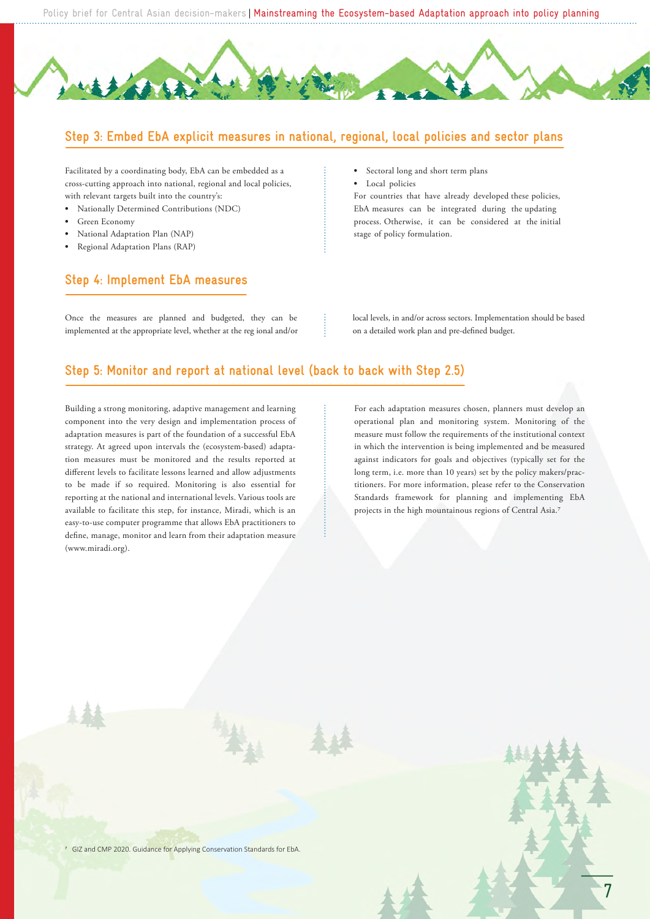### **Step 3: Embed EbA explicit measures in national, regional, local policies and sector plans**

Facilitated by a coordinating body, EbA can be embedded as a cross-cutting approach into national, regional and local policies, with relevant targets built into the country's:

- **•** Nationally Determined Contributions (NDC)
- **•** Green Economy
- **•** National Adaptation Plan (NAP)
- **•** Regional Adaptation Plans (RAP)

### **Step 4: Implement EbA measures**

Once the measures are planned and budgeted, they can be implemented at the appropriate level, whether at the reg ional and/or

- **•** Sectoral long and short term plans
- **•** Local policies

For countries that have already developed these policies, EbA measures can be integrated during the updating process. Otherwise, it can be considered at the initial stage of policy formulation.

local levels, in and/or across sectors. Implementation should be based on a detailed work plan and pre-defined budget.

### **Step 5: Monitor and report at national level (back to back with Step 2.5)**

Building a strong monitoring, adaptive management and learning component into the very design and implementation process of adaptation measures is part of the foundation of a successful EbA strategy. At agreed upon intervals the (ecosystem-based) adaptation measures must be monitored and the results reported at different levels to facilitate lessons learned and allow adjustments to be made if so required. Monitoring is also essential for reporting at the national and international levels. Various tools are available to facilitate this step, for instance, Miradi, which is an easy-to-use computer programme that allows EbA practitioners to define, manage, monitor and learn from their adaptation measure (www.miradi.org).

For each adaptation measures chosen, planners must develop an operational plan and monitoring system. Monitoring of the measure must follow the requirements of the institutional context in which the intervention is being implemented and be measured against indicators for goals and objectives (typically set for the long term, i.e. more than 10 years) set by the policy makers/practitioners. For more information, please refer to the Conservation Standards framework for planning and implementing EbA projects in the high mountainous regions of Central Asia.

7

<sup>7</sup> GIZ and CMP 2020. [Guidance for Applying Conservation Standards for EbA.](https://www.adaptationcommunity.net/download/GIZ-CMP_CoSEbA-Guidance.pdf)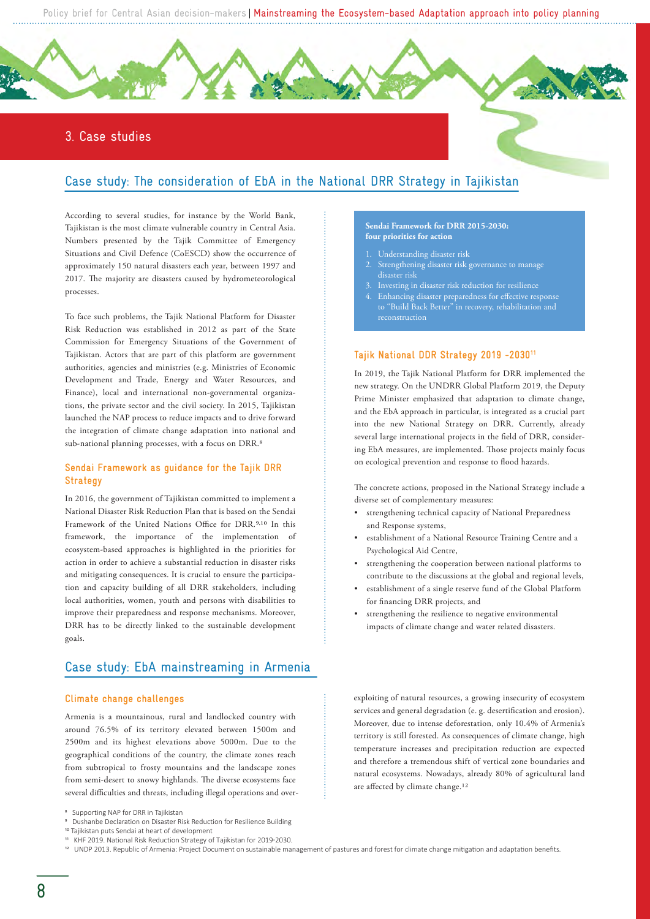### 3. Case studies

### Case study: The consideration of EbA in the National DRR Strategy in Tajikistan

According to several studies, for instance by the World Bank, Tajikistan is the most climate vulnerable country in Central Asia. Numbers presented by the Tajik Committee of Emergency Situations and Civil Defence (CoESCD) show the occurrence of approximately 150 natural disasters each year, between 1997 and 2017. The majority are disasters caused by hydrometeorological processes.

To face such problems, the Tajik National Platform for Disaster Risk Reduction was established in 2012 as part of the State Commission for Emergency Situations of the Government of Tajikistan. Actors that are part of this platform are government authorities, agencies and ministries (e.g. Ministries of Economic Development and Trade, Energy and Water Resources, and Finance), local and international non-governmental organizations, the private sector and the civil society. In 2015, Tajikistan launched the NAP process to reduce impacts and to drive forward the integration of climate change adaptation into national and sub-national planning processes, with a focus on DRR.

#### **Sendai Framework as guidance for the Tajik DRR Strategy**

In 2016, the government of Tajikistan committed to implement a National Disaster Risk Reduction Plan that is based on the Sendai Framework of the United Nations Office for DRR.<sup>9,10</sup> In this framework, the importance of the implementation of ecosystem-based approaches is highlighted in the priorities for action in order to achieve a substantial reduction in disaster risks and mitigating consequences. It is crucial to ensure the participation and capacity building of all DRR stakeholders, including local authorities, women, youth and persons with disabilities to improve their preparedness and response mechanisms. Moreover, DRR has to be directly linked to the sustainable development goals.

### Case study: EbA mainstreaming in Armenia

### **Climate change challenges**

Armenia is a mountainous, rural and landlocked country with around 76.5% of its territory elevated between 1500m and 2500m and its highest elevations above 5000m. Due to the geographical conditions of the country, the climate zones reach from subtropical to frosty mountains and the landscape zones from semi-desert to snowy highlands. The diverse ecosystems face several difficulties and threats, including illegal operations and over-

#### 12 UNDP 2013. [Republic of Armenia: Project Document on sustainable management of pastures and forest for climate change mi�ga�on and adapta�on benefits](https://www.am.undp.org/content/dam/armenia/docs/CE_ProDoc_ENG-1.pdf).

#### **Sendai Framework for DRR 2015-2030: four priorities for action**

- Understanding disaster risk
- Strengthening disaster risk governance to manage disaster risk
- Investing in disaster risk reduction for resilience
- Enhancing disaster preparedness for effective response to "Build Back Better" in recovery, rehabilitation and

### **Tajik National DDR Strategy 2019 -203011**

In 2019, the Tajik National Platform for DRR implemented the new strategy. On the UNDRR Global Platform 2019, the Deputy Prime Minister emphasized that adaptation to climate change, and the EbA approach in particular, is integrated as a crucial part into the new National Strategy on DRR. Currently, already several large international projects in the field of DRR, considering EbA measures, are implemented. Those projects mainly focus on ecological prevention and response to flood hazards.

The concrete actions, proposed in the National Strategy include a diverse set of complementary measures:

- strengthening technical capacity of National Preparedness and Response systems,
- establishment of a National Resource Training Centre and a Psychological Aid Centre,
- strengthening the cooperation between national platforms to contribute to the discussions at the global and regional levels,
- establishment of a single reserve fund of the Global Platform for financing DRR projects, and
- strengthening the resilience to negative environmental impacts of climate change and water related disasters.

exploiting of natural resources, a growing insecurity of ecosystem services and general degradation (e. g. desertification and erosion). Moreover, due to intense deforestation, only 10.4% of Armenia's territory is still forested. As consequences of climate change, high temperature increases and precipitation reduction are expected and therefore a tremendous shift of vertical zone boundaries and natural ecosystems. Nowadays, already 80% of agricultural land are affected by climate change.

[Supporting NAP for DRR in Tajikistan](https://www.adaptation-undp.org/supporting-nap-drr-tajikistan)

<sup>9</sup> [Dushanbe Declaration on Disaster Risk Reduction for Resilience Building](https://www.preventionweb.net/files/51203_dushanbedeclarationeng.pdf)

<sup>10</sup> [Tajikistan puts Sendai at heart of development](https://www.undrr.org/news/tajikistan-puts-sendai-heart-development) 

<sup>11</sup> KHF 2019. [National Risk Reduction Strategy of Tajikistan for 2019�2030](https://khf.tj/sites/default/files/pdf/Natsionalnaya-Strategiya.pdf).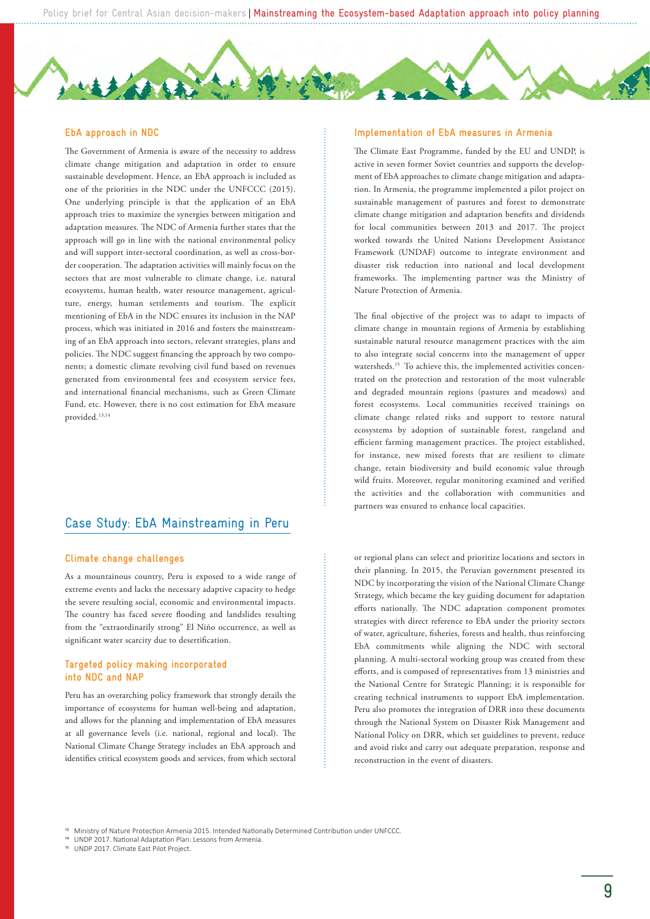#### **EbA approach in NDC**

The Government of Armenia is aware of the necessity to address climate change mitigation and adaptation in order to ensure sustainable development. Hence, an EbA approach is included as one of the priorities in the NDC under the UNFCCC (2015). One underlying principle is that the application of an EbA approach tries to maximize the synergies between mitigation and adaptation measures. The NDC of Armenia further states that the approach will go in line with the national environmental policy and will support inter-sectoral coordination, as well as cross-border cooperation. The adaptation activities will mainly focus on the sectors that are most vulnerable to climate change, i.e. natural ecosystems, human health, water resource management, agriculture, energy, human settlements and tourism. The explicit mentioning of EbA in the NDC ensures its inclusion in the NAP process, which was initiated in 2016 and fosters the mainstreaming of an EbA approach into sectors, relevant strategies, plans and policies. The NDC suggest financing the approach by two components; a domestic climate revolving civil fund based on revenues generated from environmental fees and ecosystem service fees, and international financial mechanisms, such as Green Climate Fund, etc. However, there is no cost estimation for EbA measure provided.13,14

### Case Study: EbA Mainstreaming in Peru

#### **Climate change challenges**

As a mountainous country, Peru is exposed to a wide range of extreme events and lacks the necessary adaptive capacity to hedge the severe resulting social, economic and environmental impacts. The country has faced severe flooding and landslides resulting from the "extraordinarily strong" El Niño occurrence, as well as significant water scarcity due to desertification.

#### **Targeted policy making incorporated into NDC and NAP**

Peru has an overarching policy framework that strongly details the importance of ecosystems for human well-being and adaptation, and allows for the planning and implementation of EbA measures at all governance levels (i.e. national, regional and local). The National Climate Change Strategy includes an EbA approach and identifies critical ecosystem goods and services, from which sectoral

#### **Implementation of EbA measures in Armenia**

The Climate East Programme, funded by the EU and UNDP, is active in seven former Soviet countries and supports the development of EbA approaches to climate change mitigation and adaptation. In Armenia, the programme implemented a pilot project on sustainable management of pastures and forest to demonstrate climate change mitigation and adaptation benefits and dividends for local communities between 2013 and 2017. The project worked towards the United Nations Development Assistance Framework (UNDAF) outcome to integrate environment and disaster risk reduction into national and local development frameworks. The implementing partner was the Ministry of Nature Protection of Armenia.

The final objective of the project was to adapt to impacts of climate change in mountain regions of Armenia by establishing sustainable natural resource management practices with the aim to also integrate social concerns into the management of upper watersheds.<sup>15</sup> To achieve this, the implemented activities concentrated on the protection and restoration of the most vulnerable and degraded mountain regions (pastures and meadows) and forest ecosystems. Local communities received trainings on climate change related risks and support to restore natural ecosystems by adoption of sustainable forest, rangeland and efficient farming management practices. The project established, for instance, new mixed forests that are resilient to climate change, retain biodiversity and build economic value through wild fruits. Moreover, regular monitoring examined and verified the activities and the collaboration with communities and partners was ensured to enhance local capacities.

or regional plans can select and prioritize locations and sectors in their planning. In 2015, the Peruvian government presented its NDC by incorporating the vision of the National Climate Change Strategy, which became the key guiding document for adaptation efforts nationally. The NDC adaptation component promotes strategies with direct reference to EbA under the priority sectors of water, agriculture, fisheries, forests and health, thus reinforcing EbA commitments while aligning the NDC with sectoral planning. A multi-sectoral working group was created from these efforts, and is composed of representatives from 13 ministries and the National Centre for Strategic Planning; it is responsible for creating technical instruments to support EbA implementation. Peru also promotes the integration of DRR into these documents through the National System on Disaster Risk Management and National Policy on DRR, which set guidelines to prevent, reduce and avoid risks and carry out adequate preparation, response and reconstruction in the event of disasters.

Ministry of Nature Protection Armenia 2015. Intended Nationally Determined Contribution under UNFCCC.

UNDP 2017. National Adaptation Plan: Lessons from Armenia.

<sup>15</sup> UNDP 2017. [Climate East Pilot Project.](https://www.am.undp.org/content/armenia/en/home/operations/projects/environment_and_energy/clima-east-pilot-project-.html)